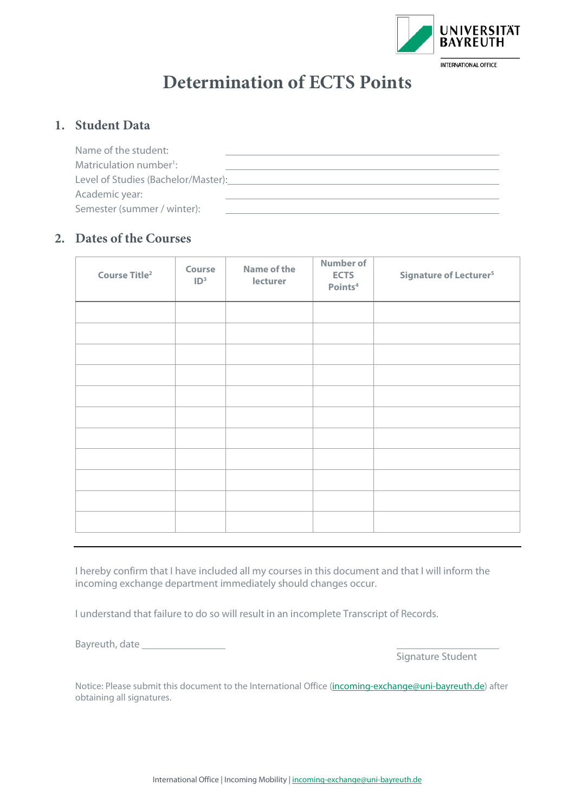

## **Determination of ECTS Points**

## **1. Student Data**

| Name of the student:                |  |
|-------------------------------------|--|
| Matriculation number <sup>1</sup> : |  |
| Level of Studies (Bachelor/Master): |  |
| Academic year:                      |  |
| Semester (summer / winter):         |  |
|                                     |  |

## **2. Dates of the Courses**

| Course Title <sup>2</sup> | Course<br>ID <sup>3</sup> | <b>Name of the</b><br>lecturer | <b>Number of</b><br><b>ECTS</b><br>Points <sup>4</sup> | <b>Signature of Lecturer<sup>5</sup></b> |
|---------------------------|---------------------------|--------------------------------|--------------------------------------------------------|------------------------------------------|
|                           |                           |                                |                                                        |                                          |
|                           |                           |                                |                                                        |                                          |
|                           |                           |                                |                                                        |                                          |
|                           |                           |                                |                                                        |                                          |
|                           |                           |                                |                                                        |                                          |
|                           |                           |                                |                                                        |                                          |
|                           |                           |                                |                                                        |                                          |
|                           |                           |                                |                                                        |                                          |
|                           |                           |                                |                                                        |                                          |
|                           |                           |                                |                                                        |                                          |
|                           |                           |                                |                                                        |                                          |

I hereby confirm that I have included all my courses in this document and that I will inform the incoming exchange department immediately should changes occur.

I understand that failure to do so will result in an incomplete Transcript of Records.

Bayreuth, date

Signature Student

Notice: Please submit this document to the International Office [\(incoming-exchange@uni-bayreuth.de\)](mailto:incoming-exchange@uni-bayreuth.de) after obtaining all signatures.